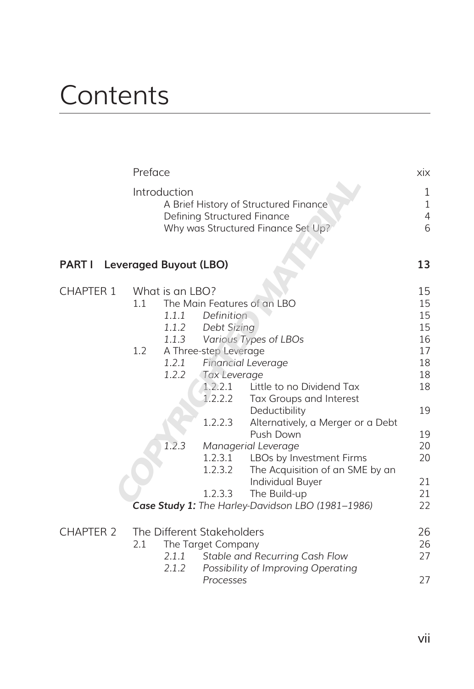## **Contents**

|                                      | Preface                                               |                              |                                                                      | xix    |
|--------------------------------------|-------------------------------------------------------|------------------------------|----------------------------------------------------------------------|--------|
|                                      | Introduction<br>A Brief History of Structured Finance | 1<br>1                       |                                                                      |        |
|                                      |                                                       | Defining Structured Finance  | Why was Structured Finance Set Up?                                   | 4<br>6 |
| <b>PART I</b> Leveraged Buyout (LBO) |                                                       |                              |                                                                      | 13     |
| <b>CHAPTER 1</b>                     | What is an LBO?                                       |                              |                                                                      | 15     |
|                                      | 1.1                                                   | The Main Features of an LBO  | 15                                                                   |        |
|                                      |                                                       | 1.1.1<br><b>Definition</b>   |                                                                      | 15     |
|                                      |                                                       | Debt Sizing<br>1.1.2         |                                                                      | 15     |
|                                      |                                                       | 1.1.3                        | Various Types of LBOs                                                | 16     |
|                                      | 1.2                                                   | A Three-step Leverage        |                                                                      | 17     |
|                                      |                                                       | 1.2.1                        | Financial Leverage                                                   | 18     |
|                                      |                                                       | 1.2.2<br><b>Tax Leverage</b> |                                                                      | 18     |
|                                      |                                                       | 1.2.2.1                      | Little to no Dividend Tax                                            | 18     |
|                                      |                                                       | 1.2.2.2                      | Tax Groups and Interest                                              |        |
|                                      |                                                       |                              | Deductibility                                                        | 19     |
|                                      |                                                       | 1.2.2.3                      | Alternatively, a Merger or a Debt                                    |        |
|                                      |                                                       |                              | Push Down                                                            | 19     |
|                                      | 1.2.3                                                 |                              | Managerial Leverage                                                  | 20     |
|                                      |                                                       | 1.2.3.1                      | LBOs by Investment Firms                                             | 20     |
|                                      |                                                       | 1.2.3.2                      | The Acquisition of an SME by an                                      |        |
|                                      |                                                       |                              | Individual Buyer                                                     | 21     |
|                                      |                                                       | 1.2.3.3                      | The Build-up                                                         | 21     |
|                                      |                                                       |                              | Case Study 1: The Harley-Davidson LBO (1981-1986)                    | 22     |
| <b>CHAPTER 2</b>                     |                                                       | The Different Stakeholders   |                                                                      | 26     |
|                                      | 2.1                                                   | The Target Company           |                                                                      | 26     |
|                                      | 2.1.2                                                 | 2.1.1                        | Stable and Recurring Cash Flow<br>Possibility of Improving Operating | 27     |
|                                      |                                                       | Processes                    |                                                                      | 27     |
|                                      |                                                       |                              |                                                                      |        |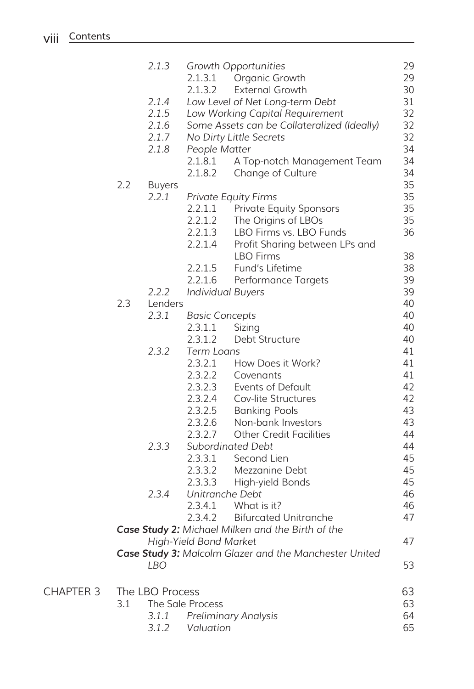|                  |     | 2.1.3           |                        | Growth Opportunities                                   | 29 |
|------------------|-----|-----------------|------------------------|--------------------------------------------------------|----|
|                  |     |                 | 2.1.3.1                | Organic Growth                                         | 29 |
|                  |     |                 | 2.1.3.2                | <b>External Growth</b>                                 | 30 |
|                  |     | 2.1.4           |                        | Low Level of Net Long-term Debt                        | 31 |
|                  |     | 2.1.5           |                        | Low Working Capital Requirement                        | 32 |
|                  |     | 2.1.6           |                        | Some Assets can be Collateralized (Ideally)            | 32 |
|                  |     | 2.1.7           |                        | No Dirty Little Secrets                                | 32 |
|                  |     | 2.1.8           | People Matter          |                                                        | 34 |
|                  |     |                 | 2.1.8.1                | A Top-notch Management Team                            | 34 |
|                  |     |                 | 2.1.8.2                | Change of Culture                                      | 34 |
|                  |     |                 |                        |                                                        |    |
|                  | 2.2 | <b>Buyers</b>   |                        |                                                        | 35 |
|                  |     | 2.2.1           |                        | <b>Private Equity Firms</b>                            | 35 |
|                  |     |                 | 2.2.1.1                | <b>Private Equity Sponsors</b>                         | 35 |
|                  |     |                 | 2.2.1.2                | The Origins of LBOs                                    | 35 |
|                  |     |                 | 2.2.1.3                | LBO Firms vs. LBO Funds                                | 36 |
|                  |     |                 | 2.2.1.4                | Profit Sharing between LPs and                         |    |
|                  |     |                 |                        | <b>LBO</b> Firms                                       | 38 |
|                  |     |                 | 2.2.1.5                | Fund's Lifetime                                        | 38 |
|                  |     |                 | 2.2.1.6                | Performance Targets                                    | 39 |
|                  |     | 2.2.2           |                        | <b>Individual Buyers</b>                               | 39 |
|                  | 2.3 | Lenders         |                        |                                                        | 40 |
|                  |     | 2.3.1           | <b>Basic Concepts</b>  |                                                        | 40 |
|                  |     |                 | 2.3.1.1                | Sizing                                                 | 40 |
|                  |     |                 | 2.3.1.2                | Debt Structure                                         | 40 |
|                  |     | 2.3.2           | <b>Term Loans</b>      |                                                        | 41 |
|                  |     |                 | 2.3.2.1                | How Does it Work?                                      | 41 |
|                  |     |                 | 2.3.2.2                | Covenants                                              | 41 |
|                  |     |                 | 2.3.2.3                | Events of Default                                      | 42 |
|                  |     |                 |                        |                                                        | 42 |
|                  |     |                 | 2.3.2.4                | Cov-lite Structures                                    |    |
|                  |     |                 | 2.3.2.5                | <b>Banking Pools</b>                                   | 43 |
|                  |     |                 | 2.3.2.6                | Non-bank Investors                                     | 43 |
|                  |     |                 | 2.3.2.7                | <b>Other Credit Facilities</b>                         | 44 |
|                  |     | 2.3.3           |                        | Subordinated Debt                                      | 44 |
|                  |     |                 | 2.3.3.1                | Second Lien                                            | 45 |
|                  |     |                 | 2.3.3.2                | Mezzanine Debt                                         | 45 |
|                  |     |                 | 2.3.3.3                | High-yield Bonds                                       | 45 |
|                  |     | 2.3.4           | Unitranche Debt        |                                                        | 46 |
|                  |     |                 |                        | $2.3.4.1$ What is it?                                  | 46 |
|                  |     |                 | 2.3.4.2                | <b>Bifurcated Unitranche</b>                           | 47 |
|                  |     |                 |                        | Case Study 2: Michael Milken and the Birth of the      |    |
|                  |     |                 | High-Yield Bond Market |                                                        | 47 |
|                  |     |                 |                        | Case Study 3: Malcolm Glazer and the Manchester United |    |
|                  |     | <b>LBO</b>      |                        |                                                        | 53 |
| <b>CHAPTER 3</b> |     | The LBO Process |                        |                                                        | 63 |
|                  | 3.1 |                 | The Sale Process       |                                                        | 63 |
|                  |     | 3.1.1           |                        | <b>Preliminary Analysis</b>                            | 64 |
|                  |     | 3.1.2           | Valuation              |                                                        | 65 |
|                  |     |                 |                        |                                                        |    |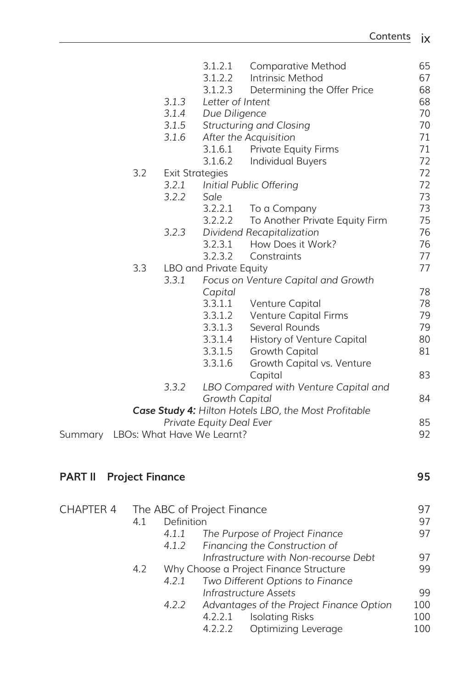|                                    |                        |            | 3.1.2.1                    | <b>Comparative Method</b>                            | 65  |
|------------------------------------|------------------------|------------|----------------------------|------------------------------------------------------|-----|
|                                    |                        |            | 3.1.2.2                    | Intrinsic Method                                     | 67  |
|                                    |                        |            | 3.1.2.3                    | Determining the Offer Price                          | 68  |
|                                    |                        | 3.1.3      | Letter of Intent           |                                                      | 68  |
|                                    |                        | 3.1.4      | Due Diligence              |                                                      | 70  |
|                                    |                        | 3.1.5      |                            | <b>Structuring and Closing</b>                       | 70  |
|                                    |                        | 3.1.6      |                            | After the Acquisition                                | 71  |
|                                    |                        |            | 3.1.6.1                    | <b>Private Equity Firms</b>                          | 71  |
|                                    |                        |            | 3.1.6.2                    | <b>Individual Buyers</b>                             | 72  |
|                                    | 3.2                    |            | <b>Exit Strategies</b>     |                                                      | 72  |
|                                    |                        | 3.2.1      |                            | Initial Public Offering                              | 72  |
|                                    |                        | 3.2.2      | Sale                       |                                                      | 73  |
|                                    |                        |            | 3.2.2.1                    | To a Company                                         | 73  |
|                                    |                        |            | 3.2.2.2                    | To Another Private Equity Firm                       | 75  |
|                                    |                        | 3.2.3      |                            | Dividend Recapitalization                            | 76  |
|                                    |                        |            | 3.2.3.1                    | How Does it Work?                                    | 76  |
|                                    |                        |            | 3.2.3.2                    | Constraints                                          | 77  |
|                                    | 3.3                    |            | LBO and Private Equity     |                                                      | 77  |
|                                    |                        | 3.3.1      |                            | Focus on Venture Capital and Growth                  |     |
|                                    |                        |            | Capital                    |                                                      | 78  |
|                                    |                        |            | 3.3.1.1                    | Venture Capital                                      | 78  |
|                                    |                        |            | 3.3.1.2                    | Venture Capital Firms                                | 79  |
|                                    |                        |            | 3.3.1.3                    | Several Rounds                                       | 79  |
|                                    |                        |            | 3.3.1.4                    | History of Venture Capital                           | 80  |
|                                    |                        |            | 3.3.1.5                    |                                                      | 81  |
|                                    |                        |            | 3.3.1.6                    | <b>Growth Capital</b>                                |     |
|                                    |                        |            |                            | Growth Capital vs. Venture<br>Capital                | 83  |
|                                    |                        | 3.3.2      |                            |                                                      |     |
|                                    |                        |            |                            | LBO Compared with Venture Capital and                |     |
|                                    |                        |            | <b>Growth Capital</b>      |                                                      | 84  |
|                                    |                        |            |                            | Case Study 4: Hilton Hotels LBO, the Most Profitable |     |
|                                    |                        |            | Private Equity Deal Ever   |                                                      | 85  |
| Summary LBOs: What Have We Learnt? |                        |            |                            |                                                      | 92  |
| <b>PART II</b>                     | <b>Project Finance</b> |            |                            |                                                      | 95  |
| <b>CHAPTER 4</b>                   |                        |            | The ABC of Project Finance |                                                      | 97  |
|                                    | 4.1                    | Definition |                            |                                                      | 97  |
|                                    |                        | 4.1.1      |                            | The Purpose of Project Finance                       | 97  |
|                                    |                        | 4.1.2      |                            | Financing the Construction of                        |     |
|                                    |                        |            |                            | Infrastructure with Non-recourse Debt                | 97  |
|                                    | 4.2                    |            |                            | Why Choose a Project Finance Structure               | 99  |
|                                    |                        | 4.2.1      |                            | Two Different Options to Finance                     |     |
|                                    |                        |            |                            | <b>Infrastructure Assets</b>                         | 99  |
|                                    |                        | 4.2.2      |                            | Advantages of the Project Finance Option             | 100 |
|                                    |                        |            | 4.2.2.1                    | <b>Isolating Risks</b>                               | 100 |
|                                    |                        |            | 4.2.2.2                    | Optimizing Leverage                                  | 100 |
|                                    |                        |            |                            |                                                      |     |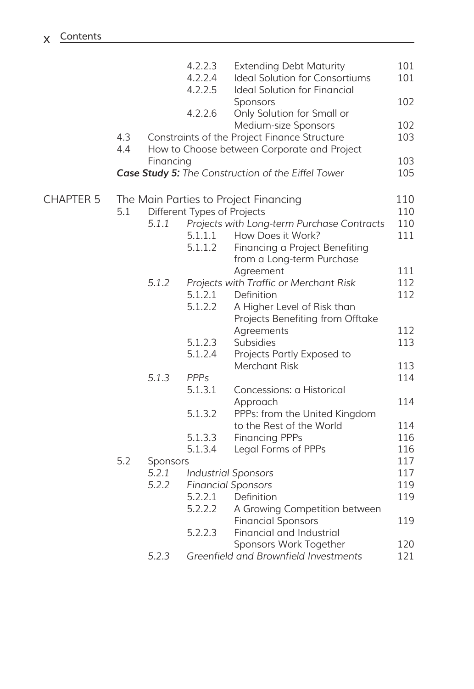|                  |     |           | 4.2.2.3<br>4.2.2.4          | <b>Extending Debt Maturity</b><br>Ideal Solution for Consortiums | 101<br>101 |
|------------------|-----|-----------|-----------------------------|------------------------------------------------------------------|------------|
|                  |     |           | 4.2.2.5                     | Ideal Solution for Financial<br>Sponsors                         | 102        |
|                  |     |           | 4.2.2.6                     | Only Solution for Small or                                       |            |
|                  |     |           |                             | Medium-size Sponsors                                             | 102        |
|                  | 4.3 |           |                             | Constraints of the Project Finance Structure                     | 103        |
|                  | 4.4 |           |                             | How to Choose between Corporate and Project                      |            |
|                  |     | Financing |                             | Case Study 5: The Construction of the Eiffel Tower               | 103<br>105 |
|                  |     |           |                             |                                                                  |            |
| <b>CHAPTER 5</b> |     |           |                             | The Main Parties to Project Financing                            | 110        |
|                  | 5.1 |           | Different Types of Projects |                                                                  | 110        |
|                  |     | 5.1.1     |                             | Projects with Long-term Purchase Contracts                       | 110        |
|                  |     |           | 5.1.1.1                     | How Does it Work?                                                | 111        |
|                  |     |           | 5.1.1.2                     | Financing a Project Benefiting                                   |            |
|                  |     |           |                             | from a Long-term Purchase                                        |            |
|                  |     |           |                             | Agreement                                                        | 111        |
|                  |     | 5.1.2     |                             | Projects with Traffic or Merchant Risk                           | 112        |
|                  |     |           | 5.1.2.1                     | Definition                                                       | 112        |
|                  |     |           | 5.1.2.2                     | A Higher Level of Risk than                                      |            |
|                  |     |           |                             | Projects Benefiting from Offtake                                 |            |
|                  |     |           |                             | Agreements                                                       | 112        |
|                  |     |           | 5.1.2.3                     | Subsidies                                                        | 113        |
|                  |     |           | 5.1.2.4                     | Projects Partly Exposed to                                       |            |
|                  |     |           |                             | Merchant Risk                                                    | 113        |
|                  |     | 5.1.3     | <b>PPPs</b>                 |                                                                  | 114        |
|                  |     |           | 5.1.3.1                     | Concessions: a Historical                                        |            |
|                  |     |           |                             | Approach                                                         | 114        |
|                  |     |           | 5.1.3.2                     | PPPs: from the United Kingdom                                    |            |
|                  |     |           |                             | to the Rest of the World                                         | 114        |
|                  |     |           | 5.1.3.3                     | <b>Financing PPPs</b>                                            | 116        |
|                  |     |           | 5.1.3.4                     | Legal Forms of PPPs                                              | 116        |
|                  | 5.2 | Sponsors  |                             |                                                                  | 117        |
|                  |     | 5.2.1     |                             | <b>Industrial Sponsors</b>                                       | 117        |
|                  |     | 5.2.2     |                             | <b>Financial Sponsors</b>                                        | 119        |
|                  |     |           | 5.2.2.1                     | Definition                                                       | 119        |
|                  |     |           | 5.2.2.2                     | A Growing Competition between                                    |            |
|                  |     |           |                             | <b>Financial Sponsors</b>                                        | 119        |
|                  |     |           | 5.2.2.3                     | Financial and Industrial                                         |            |
|                  |     |           |                             | Sponsors Work Together                                           | 120        |
|                  |     | 5.2.3     |                             | Greenfield and Brownfield Investments                            | 121        |
|                  |     |           |                             |                                                                  |            |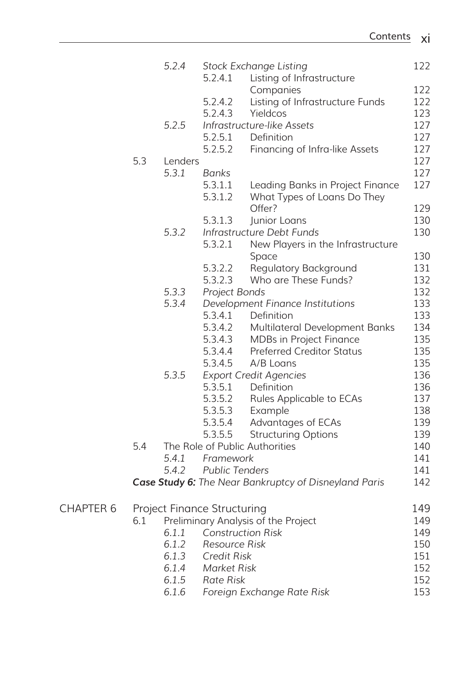|                  |     | 5.2.4   |                                    | <b>Stock Exchange Listing</b>                                   | 122 |
|------------------|-----|---------|------------------------------------|-----------------------------------------------------------------|-----|
|                  |     |         | 5.2.4.1                            | Listing of Infrastructure                                       |     |
|                  |     |         |                                    | Companies                                                       | 122 |
|                  |     |         | 5.2.4.2                            | Listing of Infrastructure Funds                                 | 122 |
|                  |     |         | 5.2.4.3                            | Yieldcos                                                        | 123 |
|                  |     | 5.2.5   |                                    | Infrastructure-like Assets                                      | 127 |
|                  |     |         | 5.2.5.1                            | Definition                                                      | 127 |
|                  |     |         | 5.2.5.2                            | Financing of Infra-like Assets                                  | 127 |
|                  | 5.3 | Lenders |                                    |                                                                 | 127 |
|                  |     | 5.3.1   | Banks                              |                                                                 | 127 |
|                  |     |         | 5.3.1.1<br>5.3.1.2                 | Leading Banks in Project Finance<br>What Types of Loans Do They | 127 |
|                  |     |         |                                    | Offer?                                                          | 129 |
|                  |     |         | 5.3.1.3                            | Junior Loans                                                    | 130 |
|                  |     | 5.3.2   |                                    | Infrastructure Debt Funds                                       | 130 |
|                  |     |         | 5.3.2.1                            | New Players in the Infrastructure                               |     |
|                  |     |         |                                    | Space                                                           | 130 |
|                  |     |         | 5.3.2.2                            | <b>Regulatory Background</b>                                    | 131 |
|                  |     |         | 5.3.2.3                            | Who are These Funds?                                            | 132 |
|                  |     | 5.3.3   | Project Bonds                      |                                                                 | 132 |
|                  |     | 5.3.4   |                                    | Development Finance Institutions                                | 133 |
|                  |     |         | 5.3.4.1                            | Definition                                                      | 133 |
|                  |     |         | 5.3.4.2                            | Multilateral Development Banks                                  | 134 |
|                  |     |         | 5.3.4.3                            | MDBs in Project Finance                                         | 135 |
|                  |     |         | 5.3.4.4                            | <b>Preferred Creditor Status</b>                                | 135 |
|                  |     |         | 5.3.4.5                            | A/B Loans                                                       | 135 |
|                  |     | 5.3.5   |                                    | <b>Export Credit Agencies</b>                                   | 136 |
|                  |     |         | 5.3.5.1                            | Definition                                                      | 136 |
|                  |     |         | 5.3.5.2                            | Rules Applicable to ECAs                                        | 137 |
|                  |     |         | 5.3.5.3                            | Example                                                         | 138 |
|                  |     |         | 5.3.5.4                            | Advantages of ECAs                                              | 139 |
|                  |     |         | 5.3.5.5                            | <b>Structuring Options</b>                                      | 139 |
|                  | 5.4 |         |                                    | The Role of Public Authorities                                  | 140 |
|                  |     | 5.4.1   | Framework                          |                                                                 | 141 |
|                  |     | 5.4.2   | <b>Public Tenders</b>              |                                                                 | 141 |
|                  |     |         |                                    | Case Study 6: The Near Bankruptcy of Disneyland Paris           | 142 |
| <b>CHAPTER 6</b> |     |         | <b>Project Finance Structuring</b> |                                                                 | 149 |
|                  | 6.1 |         |                                    | Preliminary Analysis of the Project                             | 149 |
|                  |     | 6.1.1   |                                    | <b>Construction Risk</b>                                        | 149 |
|                  |     | 6.1.2   | <b>Resource Risk</b>               |                                                                 | 150 |
|                  |     | 6.1.3   | <b>Credit Risk</b>                 |                                                                 | 151 |
|                  |     | 6.1.4   | <b>Market Risk</b>                 |                                                                 | 152 |
|                  |     | 6.1.5   | <b>Rate Risk</b>                   |                                                                 | 152 |
|                  |     | 6.1.6   |                                    | Foreign Exchange Rate Risk                                      | 153 |
|                  |     |         |                                    |                                                                 |     |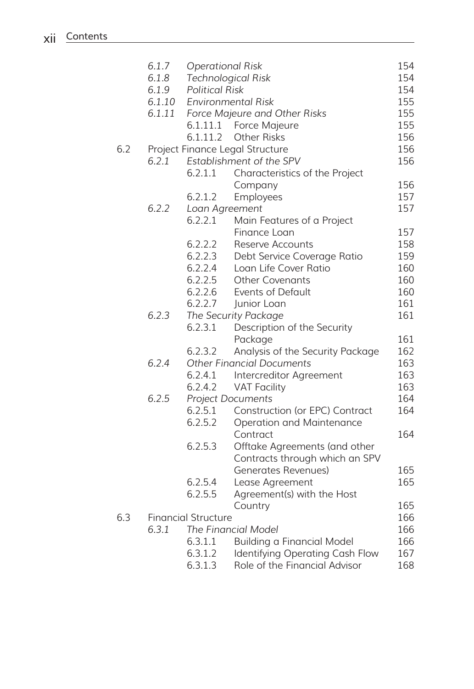|     | 6.1.7  | <b>Operational Risk</b>    |                                   | 154 |
|-----|--------|----------------------------|-----------------------------------|-----|
|     | 6.1.8  |                            | <b>Technological Risk</b>         | 154 |
|     | 6.1.9  | <b>Political Risk</b>      |                                   | 154 |
|     | 6.1.10 |                            | <b>Environmental Risk</b>         | 155 |
|     | 6.1.11 |                            | Force Majeure and Other Risks     | 155 |
|     |        |                            | 6.1.11.1 Force Majeure            | 155 |
|     |        | 6.1.11.2                   | <b>Other Risks</b>                | 156 |
| 6.2 |        |                            | Project Finance Legal Structure   | 156 |
|     | 6.2.1  |                            | Establishment of the SPV          | 156 |
|     |        | 6.2.1.1                    | Characteristics of the Project    |     |
|     |        |                            | Company                           | 156 |
|     |        | 6.2.1.2                    | Employees                         | 157 |
|     | 6.2.2  | Loan Agreement             |                                   | 157 |
|     |        | 6.2.2.1                    | Main Features of a Project        |     |
|     |        |                            |                                   | 157 |
|     |        | 6.2.2.2                    | Finance Loan<br>Reserve Accounts  | 158 |
|     |        | 6.2.2.3                    |                                   | 159 |
|     |        |                            | Debt Service Coverage Ratio       |     |
|     |        | 6.2.2.4                    | Loan Life Cover Ratio             | 160 |
|     |        | 6.2.2.5                    | Other Covenants                   | 160 |
|     |        | 6.2.2.6                    | Events of Default                 | 160 |
|     |        | 6.2.2.7                    | Junior Loan                       | 161 |
|     | 6.2.3  |                            | The Security Package              | 161 |
|     |        | 6.2.3.1                    | Description of the Security       |     |
|     |        |                            | Package                           | 161 |
|     |        | 6.2.3.2                    | Analysis of the Security Package  | 162 |
|     | 6.2.4  |                            | <b>Other Financial Documents</b>  | 163 |
|     |        | 6.2.4.1                    | Intercreditor Agreement           | 163 |
|     |        | 6.2.4.2                    | <b>VAT Facility</b>               | 163 |
|     | 6.2.5  |                            | <b>Project Documents</b>          | 164 |
|     |        | 6.2.5.1                    | Construction (or EPC) Contract    | 164 |
|     |        | 6.2.5.2                    | Operation and Maintenance         |     |
|     |        |                            | Contract                          | 164 |
|     |        | 6.2.5.3                    | Offtake Agreements (and other     |     |
|     |        |                            | Contracts through which an SPV    |     |
|     |        |                            | Generates Revenues)               | 165 |
|     |        | 6.2.5.4                    | Lease Agreement                   | 165 |
|     |        | 6.2.5.5                    | Agreement(s) with the Host        |     |
|     |        |                            | Country                           | 165 |
| 6.3 |        | <b>Financial Structure</b> |                                   | 166 |
|     | 6.3.1  |                            | The Financial Model               | 166 |
|     |        | 6.3.1.1                    | <b>Building a Financial Model</b> | 166 |
|     |        | 6.3.1.2                    | Identifying Operating Cash Flow   | 167 |
|     |        | 6.3.1.3                    | Role of the Financial Advisor     | 168 |
|     |        |                            |                                   |     |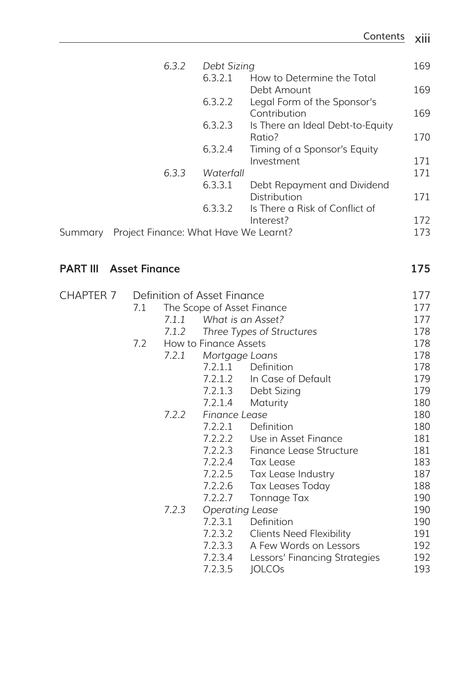|         | 6.3.2                                 | Debt Sizing |                                  | 169 |
|---------|---------------------------------------|-------------|----------------------------------|-----|
|         |                                       | 6.3.2.1     | How to Determine the Total       |     |
|         |                                       |             | Debt Amount                      | 169 |
|         |                                       | 6.3.2.2     | Legal Form of the Sponsor's      |     |
|         |                                       |             | Contribution                     | 169 |
|         |                                       | 6.3.2.3     | Is There an Ideal Debt-to-Equity |     |
|         |                                       |             | Ratio?                           | 170 |
|         |                                       | 6.3.2.4     | Timing of a Sponsor's Equity     |     |
|         |                                       |             | Investment                       | 171 |
|         | 6.3.3                                 | Waterfall   |                                  | 171 |
|         |                                       | 6.3.3.1     | Debt Repayment and Dividend      |     |
|         |                                       |             | Distribution                     | 171 |
|         |                                       | 6.3.3.2     | Is There a Risk of Conflict of   |     |
|         |                                       |             | Interest?                        | 172 |
| Summary | Project Finance: What Have We Learnt? |             |                                  | 173 |

## **PART III** Asset Finance 175

| <b>CHAPTER 7</b> |     |       | Definition of Asset Finance | 177                             |     |
|------------------|-----|-------|-----------------------------|---------------------------------|-----|
|                  | 7.1 |       | The Scope of Asset Finance  |                                 | 177 |
|                  |     | 7.1.1 |                             | What is an Asset?               | 177 |
|                  |     | 7.1.2 |                             | Three Types of Structures       | 178 |
|                  | 7.2 |       | How to Finance Assets       | 178                             |     |
|                  |     | 7.2.1 | Mortgage Loans              |                                 | 178 |
|                  |     |       | 7.2.1.1                     | Definition                      | 178 |
|                  |     |       | 7.2.1.2                     | In Case of Default              | 179 |
|                  |     |       | 7.2.1.3                     | Debt Sizing                     | 179 |
|                  |     |       | 7.2.1.4                     | Maturity                        | 180 |
|                  |     | 7.2.2 | Finance Lease               | 180                             |     |
|                  |     |       | 7.2.2.1                     | Definition                      | 180 |
|                  |     |       | 7.2.2.2                     | Use in Asset Finance            | 181 |
|                  |     |       | 7.2.2.3                     | Finance Lease Structure         | 181 |
|                  |     |       | 7.2.2.4                     | Tax Lease                       | 183 |
|                  |     |       | 7.2.2.5                     | Tax Lease Industry              | 187 |
|                  |     |       | 7.2.2.6                     | <b>Tax Leases Today</b>         | 188 |
|                  |     |       | 7.2.2.7                     | Tonnage Tax                     | 190 |
|                  |     | 7.2.3 | <b>Operating Lease</b>      |                                 | 190 |
|                  |     |       | 7.2.3.1                     | Definition                      | 190 |
|                  |     |       | 7.2.3.2                     | <b>Clients Need Flexibility</b> | 191 |
|                  |     |       | 7.2.3.3                     | A Few Words on Lessors          | 192 |
|                  |     |       | 7.2.3.4                     | Lessors' Financing Strategies   | 192 |
|                  |     |       | 7.2.3.5                     | <b>JOLCOs</b>                   | 193 |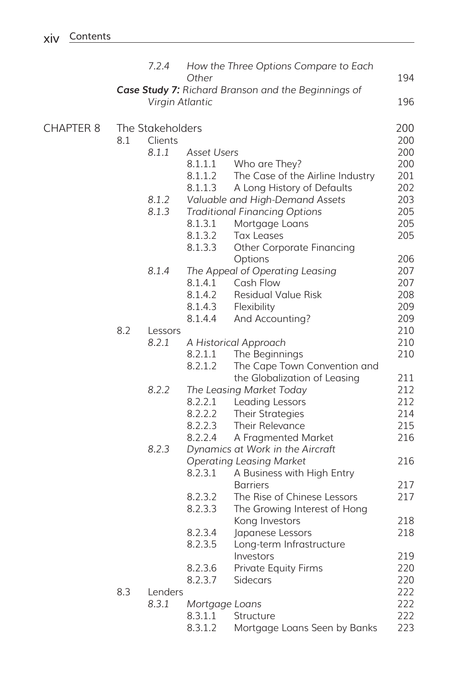|                  |     | 7.2.4                                                                  | Other          | How the Three Options Compare to Each         | 194 |
|------------------|-----|------------------------------------------------------------------------|----------------|-----------------------------------------------|-----|
|                  |     | Case Study 7: Richard Branson and the Beginnings of<br>Virgin Atlantic | 196            |                                               |     |
|                  |     |                                                                        |                |                                               |     |
| <b>CHAPTER 8</b> |     | The Stakeholders                                                       |                |                                               | 200 |
|                  | 8.1 | Clients                                                                |                |                                               | 200 |
|                  |     | 8.1.1                                                                  | Asset Users    |                                               | 200 |
|                  |     |                                                                        | 8.1.1.1        | Who are They?                                 | 200 |
|                  |     |                                                                        | 8.1.1.2        | The Case of the Airline Industry              | 201 |
|                  |     |                                                                        | 8.1.1.3        | A Long History of Defaults                    | 202 |
|                  |     | 8.1.2                                                                  |                | Valuable and High-Demand Assets               | 203 |
|                  |     | 8.1.3                                                                  |                | <b>Traditional Financing Options</b>          | 205 |
|                  |     |                                                                        | 8.1.3.1        | Mortgage Loans                                | 205 |
|                  |     |                                                                        | 8.1.3.2        | <b>Tax Leases</b>                             | 205 |
|                  |     |                                                                        | 8.1.3.3        | <b>Other Corporate Financing</b>              |     |
|                  |     |                                                                        |                | Options                                       | 206 |
|                  |     | 8.1.4                                                                  |                | The Appeal of Operating Leasing               | 207 |
|                  |     |                                                                        | 8.1.4.1        | Cash Flow                                     | 207 |
|                  |     |                                                                        | 8.1.4.2        | Residual Value Risk                           | 208 |
|                  |     |                                                                        | 8.1.4.3        | Flexibility                                   | 209 |
|                  |     |                                                                        | 8.1.4.4        | And Accounting?                               | 209 |
|                  | 8.2 | Lessors                                                                |                |                                               | 210 |
|                  |     | 8.2.1                                                                  |                | A Historical Approach                         | 210 |
|                  |     |                                                                        | 8.2.1.1        | The Beginnings                                | 210 |
|                  |     |                                                                        | 8.2.1.2        | The Cape Town Convention and                  |     |
|                  |     |                                                                        |                | the Globalization of Leasing                  | 211 |
|                  |     | 8.2.2                                                                  |                | The Leasing Market Today                      | 212 |
|                  |     |                                                                        | 8.2.2.1        | Leading Lessors                               | 212 |
|                  |     |                                                                        | 8.2.2.2        | Their Strategies                              | 214 |
|                  |     |                                                                        | 8.2.2.3        | Their Relevance                               | 215 |
|                  |     |                                                                        | 8.2.2.4        | A Fragmented Market                           | 216 |
|                  |     | 8.2.3                                                                  |                | Dynamics at Work in the Aircraft              |     |
|                  |     |                                                                        | 8.2.3.1        | <b>Operating Leasing Market</b>               | 216 |
|                  |     |                                                                        |                | A Business with High Entry<br><b>Barriers</b> | 217 |
|                  |     |                                                                        | 8.2.3.2        | The Rise of Chinese Lessors                   | 217 |
|                  |     |                                                                        | 8.2.3.3        | The Growing Interest of Hong                  |     |
|                  |     |                                                                        |                | Kong Investors                                | 218 |
|                  |     |                                                                        | 8.2.3.4        | Japanese Lessors                              | 218 |
|                  |     |                                                                        | 8.2.3.5        | Long-term Infrastructure                      |     |
|                  |     |                                                                        |                | Investors                                     | 219 |
|                  |     |                                                                        | 8.2.3.6        | <b>Private Equity Firms</b>                   | 220 |
|                  |     |                                                                        | 8.2.3.7        | Sidecars                                      | 220 |
|                  | 8.3 | Lenders                                                                |                |                                               | 222 |
|                  |     | 8.3.1                                                                  | Mortgage Loans |                                               | 222 |
|                  |     |                                                                        | 8.3.1.1        | Structure                                     | 222 |
|                  |     |                                                                        | 8.3.1.2        | Mortgage Loans Seen by Banks                  | 223 |
|                  |     |                                                                        |                |                                               |     |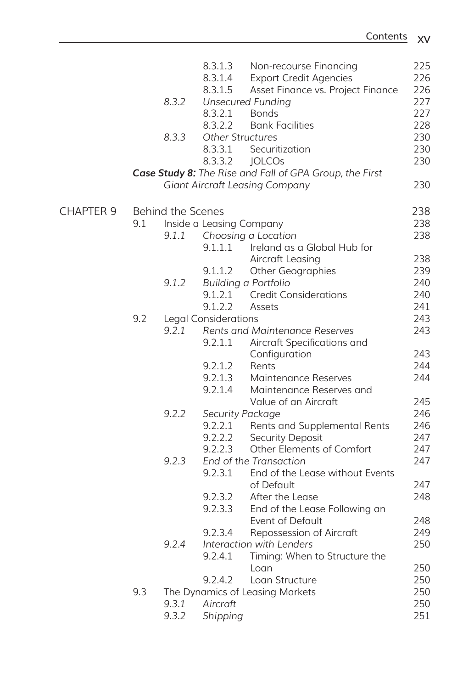|                  |     |                          | 8.3.1.3                     | Non-recourse Financing                                  | 225 |
|------------------|-----|--------------------------|-----------------------------|---------------------------------------------------------|-----|
|                  |     |                          | 8.3.1.4                     | <b>Export Credit Agencies</b>                           | 226 |
|                  |     |                          | 8.3.1.5                     | Asset Finance vs. Project Finance                       | 226 |
|                  |     | 8.3.2                    |                             | <b>Unsecured Funding</b>                                | 227 |
|                  |     |                          | 8.3.2.1                     | <b>Bonds</b>                                            | 227 |
|                  |     |                          | 8.3.2.2                     | <b>Bank Facilities</b>                                  | 228 |
|                  |     | 8.3.3                    | Other Structures            |                                                         | 230 |
|                  |     |                          | 8.3.3.1                     | Securitization                                          | 230 |
|                  |     |                          | 8.3.3.2                     | <b>JOLCOs</b>                                           | 230 |
|                  |     |                          |                             | Case Study 8: The Rise and Fall of GPA Group, the First |     |
|                  |     |                          |                             | <b>Giant Aircraft Leasing Company</b>                   | 230 |
|                  |     |                          |                             |                                                         |     |
| <b>CHAPTER 9</b> |     | <b>Behind the Scenes</b> |                             |                                                         | 238 |
|                  | 9.1 | Inside a Leasing Company |                             |                                                         | 238 |
|                  |     | 9.1.1                    |                             | Choosing a Location                                     | 238 |
|                  |     |                          | 9.1.1.1                     | Ireland as a Global Hub for                             |     |
|                  |     |                          |                             | Aircraft Leasing                                        | 238 |
|                  |     |                          | 9.1.1.2                     | <b>Other Geographies</b>                                | 239 |
|                  |     | 9.1.2                    |                             | <b>Building a Portfolio</b>                             | 240 |
|                  |     |                          | 9.1.2.1                     | <b>Credit Considerations</b>                            | 240 |
|                  |     |                          | 9.1.2.2                     | Assets                                                  | 241 |
|                  | 9.2 |                          | <b>Legal Considerations</b> |                                                         | 243 |
|                  |     | 9.2.1                    |                             | Rents and Maintenance Reserves                          | 243 |
|                  |     |                          | 9.2.1.1                     | Aircraft Specifications and                             |     |
|                  |     |                          |                             | Configuration                                           | 243 |
|                  |     |                          | 9.2.1.2                     | Rents                                                   | 244 |
|                  |     |                          | 9.2.1.3                     | <b>Maintenance Reserves</b>                             | 244 |
|                  |     |                          | 9.2.1.4                     | Maintenance Reserves and                                |     |
|                  |     |                          |                             | Value of an Aircraft                                    | 245 |
|                  |     | 9.2.2                    | Security Package            |                                                         | 246 |
|                  |     |                          | 9.2.2.1                     | Rents and Supplemental Rents                            | 246 |
|                  |     |                          | 9.2.2.2                     | Security Deposit                                        | 247 |
|                  |     |                          | 9.2.2.3                     | Other Elements of Comfort                               | 247 |
|                  |     | 9.2.3                    |                             | End of the Transaction                                  | 247 |
|                  |     |                          | 9.2.3.1                     | End of the Lease without Events                         |     |
|                  |     |                          |                             | of Default                                              | 247 |
|                  |     |                          | 9.2.3.2                     | After the Lease                                         | 248 |
|                  |     |                          | 9.2.3.3                     | End of the Lease Following an                           |     |
|                  |     |                          |                             | Event of Default                                        | 248 |
|                  |     |                          | 9.2.3.4                     | Repossession of Aircraft                                | 249 |
|                  |     | 9.2.4                    |                             | Interaction with Lenders                                | 250 |
|                  |     |                          | 9.2.4.1                     | Timing: When to Structure the                           |     |
|                  |     |                          |                             | Loan                                                    | 250 |
|                  |     |                          | 9.2.4.2                     | Loan Structure                                          | 250 |
|                  |     |                          |                             |                                                         |     |
|                  | 9.3 |                          |                             | The Dynamics of Leasing Markets                         | 250 |
|                  |     | 9.3.1                    | Aircraft                    |                                                         | 250 |
|                  |     | 9.3.2                    | Shipping                    |                                                         | 251 |
|                  |     |                          |                             |                                                         |     |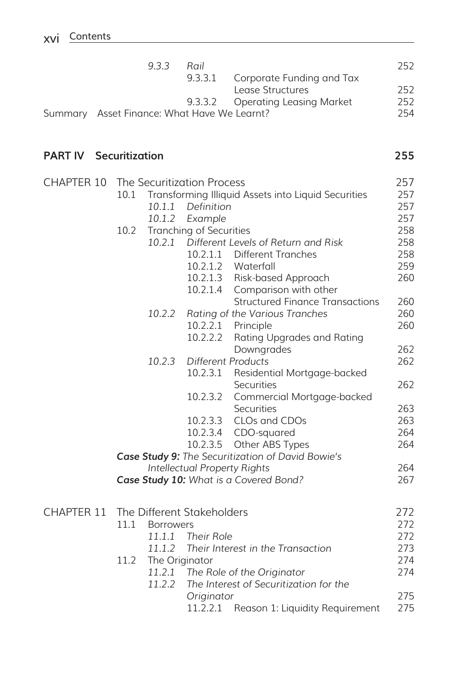| 933                                         | Rail |                                   | 252. |
|---------------------------------------------|------|-----------------------------------|------|
|                                             |      | 9.3.3.1 Corporate Funding and Tax |      |
|                                             |      | Lease Structures                  | 252  |
|                                             |      | 9.3.3.2 Operating Leasing Market  | 252  |
| Summary Asset Finance: What Have We Learnt? |      |                                   | 254  |
|                                             |      |                                   |      |

## **PART IV** Securitization 255

| <b>CHAPTER 10</b> | The Securitization Process                        |                                |                                                     | 257 |
|-------------------|---------------------------------------------------|--------------------------------|-----------------------------------------------------|-----|
|                   | 10.1                                              |                                | Transforming Illiquid Assets into Liquid Securities | 257 |
|                   | 10.1.1                                            | Definition                     |                                                     | 257 |
|                   | 10.1.2                                            | Example                        |                                                     | 257 |
|                   | 10.2                                              | <b>Tranching of Securities</b> |                                                     | 258 |
|                   |                                                   |                                | 10.2.1 Different Levels of Return and Risk          | 258 |
|                   |                                                   | 10.2.1.1                       | <b>Different Tranches</b>                           | 258 |
|                   |                                                   | 10.2.1.2                       | Waterfall                                           | 259 |
|                   |                                                   | 10.2.1.3                       | <b>Risk-based Approach</b>                          | 260 |
|                   |                                                   | 10.2.1.4                       | Comparison with other                               |     |
|                   |                                                   |                                | <b>Structured Finance Transactions</b>              | 260 |
|                   | 10.2.2                                            |                                | Rating of the Various Tranches                      | 260 |
|                   |                                                   | 10.2.2.1                       | Principle                                           | 260 |
|                   |                                                   | 10.2.2.2                       | Rating Upgrades and Rating                          |     |
|                   |                                                   |                                | Downgrades                                          | 262 |
|                   | 10.2.3                                            |                                | <b>Different Products</b>                           | 262 |
|                   |                                                   | 10.2.3.1                       | Residential Mortgage-backed                         |     |
|                   |                                                   |                                | Securities                                          | 262 |
|                   |                                                   | 10.2.3.2                       | Commercial Mortgage-backed                          |     |
|                   |                                                   |                                | <b>Securities</b>                                   | 263 |
|                   |                                                   | 10.2.3.3                       | CLOs and CDOs                                       | 263 |
|                   |                                                   | 10.2.3.4                       | CDO-squared                                         | 264 |
|                   |                                                   | 10.2.3.5                       | Other ABS Types                                     | 264 |
|                   | Case Study 9: The Securitization of David Bowie's |                                |                                                     |     |
|                   | Intellectual Property Rights                      | 264                            |                                                     |     |
|                   |                                                   |                                | Case Study 10: What is a Covered Bond?              | 267 |
| <b>CHAPTER 11</b> | The Different Stakeholders                        |                                |                                                     | 272 |
|                   | 11.1<br><b>Borrowers</b>                          |                                |                                                     | 272 |
|                   | 11.1.1                                            | Their Role                     |                                                     | 272 |
|                   | 11.1.2                                            |                                | Their Interest in the Transaction                   | 273 |
|                   | 11.2                                              | The Originator                 |                                                     | 274 |
|                   |                                                   |                                | 11.2.1 The Role of the Originator                   | 274 |
|                   | 11.2.2                                            |                                | The Interest of Securitization for the              |     |
|                   |                                                   | Originator                     |                                                     | 275 |
|                   |                                                   |                                | 11.2.2.1 Reason 1: Liquidity Requirement            | 275 |
|                   |                                                   |                                |                                                     |     |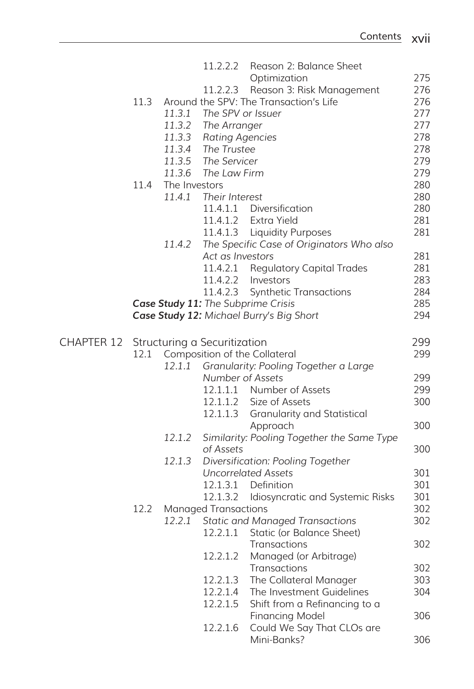|                   |                              |                                                  | 11.2.2.2                    | Reason 2: Balance Sheet                    |     |
|-------------------|------------------------------|--------------------------------------------------|-----------------------------|--------------------------------------------|-----|
|                   |                              |                                                  |                             | Optimization                               | 275 |
|                   |                              |                                                  | 11.2.2.3                    | Reason 3: Risk Management                  | 276 |
|                   | 11.3                         |                                                  |                             | Around the SPV: The Transaction's Life     | 276 |
|                   |                              | 11.3.1                                           | The SPV or Issuer           |                                            | 277 |
|                   |                              | 11.3.2                                           | The Arranger                |                                            | 277 |
|                   |                              | 11.3.3                                           | <b>Rating Agencies</b>      |                                            | 278 |
|                   |                              | 11.3.4                                           | The Trustee                 |                                            | 278 |
|                   |                              | 11.3.5                                           | The Servicer                |                                            | 279 |
|                   |                              | 11.3.6                                           | The Law Firm                |                                            | 279 |
|                   | 11.4                         | The Investors                                    |                             |                                            | 280 |
|                   |                              | 11.4.1                                           | Their Interest              |                                            | 280 |
|                   |                              |                                                  | 11.4.1.1                    | Diversification                            | 280 |
|                   |                              |                                                  | 11.4.1.2                    | Extra Yield                                | 281 |
|                   |                              |                                                  | 11.4.1.3                    | <b>Liquidity Purposes</b>                  | 281 |
|                   |                              | 11.4.2                                           |                             | The Specific Case of Originators Who also  |     |
|                   |                              |                                                  | Act as Investors            |                                            | 281 |
|                   |                              |                                                  | 11.4.2.1                    | <b>Regulatory Capital Trades</b>           | 281 |
|                   |                              |                                                  | 11.4.2.2                    | Investors                                  | 283 |
|                   |                              |                                                  | 11.4.2.3                    | <b>Synthetic Transactions</b>              | 284 |
|                   |                              |                                                  |                             | Case Study 11: The Subprime Crisis         | 285 |
|                   |                              |                                                  |                             | Case Study 12: Michael Burry's Big Short   | 294 |
|                   |                              |                                                  |                             |                                            |     |
| <b>CHAPTER 12</b> | Structuring a Securitization |                                                  |                             |                                            | 299 |
|                   | 12.1                         |                                                  |                             | <b>Composition of the Collateral</b>       | 299 |
|                   |                              | 12.1.1                                           |                             | Granularity: Pooling Together a Large      |     |
|                   |                              |                                                  | Number of Assets            |                                            | 299 |
|                   |                              |                                                  |                             | 12.1.1.1 Number of Assets                  | 299 |
|                   |                              |                                                  |                             | 12.1.1.2 Size of Assets                    | 300 |
|                   |                              |                                                  | 12.1.1.3                    | <b>Granularity and Statistical</b>         |     |
|                   |                              |                                                  |                             | Approach                                   | 300 |
|                   |                              | 12.1.2                                           |                             | Similarity: Pooling Together the Same Type |     |
|                   |                              |                                                  | of Assets                   |                                            | 300 |
|                   |                              | 12.1.3                                           |                             | Diversification: Pooling Together          |     |
|                   |                              |                                                  |                             | <b>Uncorrelated Assets</b>                 | 301 |
|                   |                              |                                                  | 12.1.3.1                    | Definition                                 | 301 |
|                   |                              |                                                  | 12.1.3.2                    | Idiosyncratic and Systemic Risks           | 301 |
|                   | 12.2                         |                                                  | <b>Managed Transactions</b> |                                            | 302 |
|                   |                              | 12.2.1<br><b>Static and Managed Transactions</b> |                             | 302                                        |     |
|                   |                              |                                                  | 12.2.1.1                    | Static (or Balance Sheet)                  |     |
|                   |                              |                                                  |                             | Transactions                               | 302 |
|                   |                              |                                                  | 12.2.1.2                    | Managed (or Arbitrage)                     |     |
|                   |                              |                                                  |                             | Transactions                               | 302 |
|                   |                              |                                                  | 12.2.1.3                    | The Collateral Manager                     | 303 |
|                   |                              |                                                  | 12.2.1.4                    | The Investment Guidelines                  | 304 |
|                   |                              |                                                  | 12.2.1.5                    | Shift from a Refinancing to a              |     |
|                   |                              |                                                  |                             | <b>Financing Model</b>                     | 306 |
|                   |                              |                                                  | 12.2.1.6                    | Could We Say That CLOs are                 |     |
|                   |                              |                                                  |                             |                                            |     |
|                   |                              |                                                  |                             | Mini-Banks?                                | 306 |